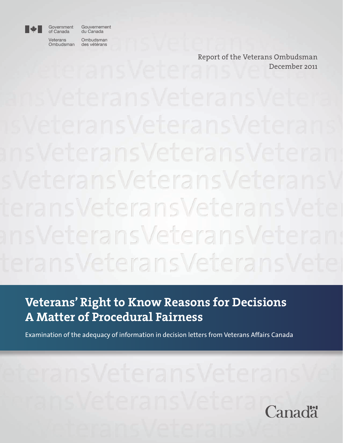

Veterans

Government Gouvernement of Canada du Canada

Ombudsman des vétérans Ombudsman

> Report of the Veterans Ombudsman December 2011

teransVeteransVete ns Veterans Veterans teransVeteransV ransVeteransVeteransVe

**Veterans' Right to Know Reasons for Decisions a Matter of procedural fairness**

examination of the adequacy of information in decision letters from Veterans Affairs Canada

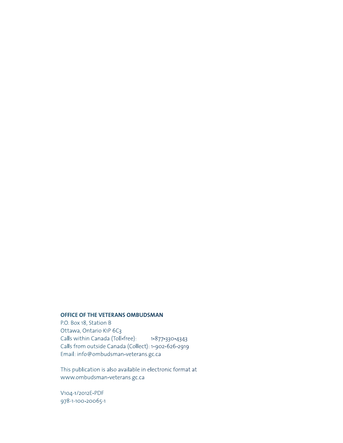#### **Office of the Veterans Ombudsman**

P.O. Box 18, Station B Ottawa, Ontario K1P 6C3 Calls within Canada (Toll-free): 1-877-330-4343 Calls from outside Canada (Collect): 1-902-626-2919 Email: info@ombudsman-veterans.gc.ca

This publication is also available in electronic format at www.ombudsman-veterans.gc.ca

V104-1/2012E-PDF 978-1-100-20065-1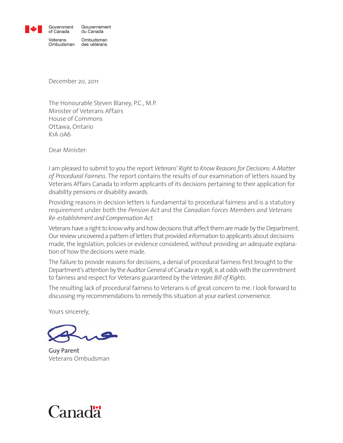

Government Gouvernement of Canada du Canada Veterans Ombudsman Ombudsman des vétérans

December 20, 2011

The Honourable Steven Blaney, P.C., M.P. Minister of Veterans Affairs House of Commons Ottawa, Ontario K1A 0A6

Dear Minister:

I am pleased to submit to you the report *Veterans' Right to Know Reasons for Decisions: A Matter of Procedural Fairness*. The report contains the results of our examination of letters issued by Veterans Affairs Canada to inform applicants of its decisions pertaining to their application for disability pensions or disability awards.

Providing reasons in decision letters is fundamental to procedural fairness and is a statutory requirement under both the *Pension Act* and the *Canadian Forces Members and Veterans Re-establishment and Compensation Act*.

Veterans have a right to know why and how decisions that affect them are made by the Department. Our review uncovered a pattern of letters that provided information to applicants about decisions made, the legislation, policies or evidence considered, without providing an adequate explanation of how the decisions were made.

The failure to provide reasons for decisions, a denial of procedural fairness first brought to the Department's attention by the Auditor General of Canada in 1998, is at odds with the commitment to fairness and respect for Veterans guaranteed by the *Veterans Bill of Rights*.

The resulting lack of procedural fairness to Veterans is of great concern to me. I look forward to discussing my recommendations to remedy this situation at your earliest convenience.

Yours sincerely,

**Guy Parent** Veterans Ombudsman

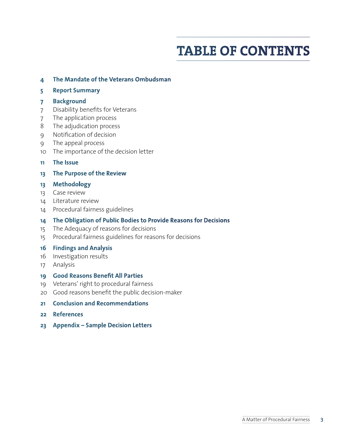# **Table of Contents**

#### **4 The Mandate of the Veterans Ombudsman**

#### **5 Report Summary**

#### **7 Background**

- 7 Disability benefits for Veterans
- 7 The application process
- 8 The adjudication process
- 9 Notification of decision
- 9 The appeal process
- 10 The importance of the decision letter

#### **11 The Issue**

#### **13 The Purpose of the Review**

#### **13 Methodology**

- 13 Case review
- 14 Literature review
- 14 Procedural fairness guidelines

#### **14 The Obligation of Public Bodies to Provide Reasons for Decisions**

- 15 The Adequacy of reasons for decisions
- 15 Procedural fairness guidelines for reasons for decisions

#### **16 Findings and Analysis**

- 16 Investigation results
- 17 Analysis

#### **19 Good Reasons Benefit All Parties**

- 19 Veterans' right to procedural fairness
- 20 Good reasons benefit the public decision-maker

#### **21 Conclusion and Recommendations**

- **22 References**
- **23 Appendix Sample Decision Letters**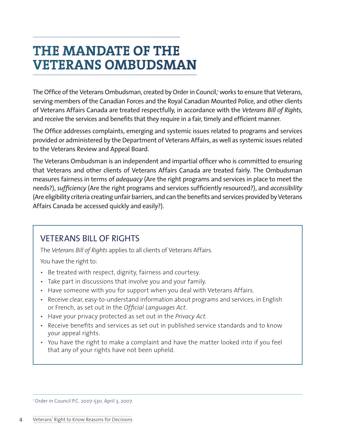# **The Mandate of the Veterans Ombudsman**

The Office of the Veterans Ombudsman, created by Order in Council,' works to ensure that Veterans, serving members of the Canadian Forces and the Royal Canadian Mounted Police, and other clients of Veterans Affairs Canada are treated respectfully, in accordance with the *Veterans Bill of Rights*, and receive the services and benefits that they require in a fair, timely and efficient manner.

The Office addresses complaints, emerging and systemic issues related to programs and services provided or administered by the Department of Veterans Affairs, as well as systemic issues related to the Veterans Review and Appeal Board.

The Veterans Ombudsman is an independent and impartial officer who is committed to ensuring that Veterans and other clients of Veterans Affairs Canada are treated fairly. The Ombudsman measures fairness in terms of *adequacy* (Are the right programs and services in place to meet the needs?), *sufficiency* (Are the right programs and services sufficiently resourced?), and *accessibility*  (Are eligibility criteria creating unfair barriers, and can the benefits and services provided by Veterans Affairs Canada be accessed quickly and easily?).

## Veterans Bill of Rights

The *Veterans Bill of Rights* applies to all clients of Veterans Affairs.

You have the right to:

- Be treated with respect, dignity, fairness and courtesy.
- Take part in discussions that involve you and your family.
- Have someone with you for support when you deal with Veterans Affairs.
- Receive clear, easy-to-understand information about programs and services, in English or French, as set out in the *Official Languages Act*.
- Have your privacy protected as set out in the *Privacy Act*.
- Receive benefits and services as set out in published service standards and to know your appeal rights.
- You have the right to make a complaint and have the matter looked into if you feel that any of your rights have not been upheld.

1 Order in Council P.C. 2007-530, April 3, 2007.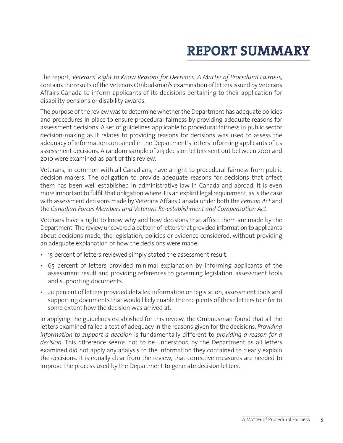# **Report Summary**

The report, *Veterans' Right to Know Reasons for Decisions: A Matter of Procedural Fairness*, contains the results of the Veterans Ombudsman's examination of letters issued by Veterans Affairs Canada to inform applicants of its decisions pertaining to their application for disability pensions or disability awards.

The purpose of the review was to determine whether the Department has adequate policies and procedures in place to ensure procedural fairness by providing adequate reasons for assessment decisions. A set of guidelines applicable to procedural fairness in public sector decision-making as it relates to providing reasons for decisions was used to assess the adequacy of information contained in the Department's letters informing applicants of its assessment decisions. A random sample of 213 decision letters sent out between 2001 and 2010 were examined as part of this review.

Veterans, in common with all Canadians, have a right to procedural fairness from public decision-makers. The obligation to provide adequate reasons for decisions that affect them has been well established in administrative law in Canada and abroad. It is even more important to fulfill that obligation where it is an explicit legal requirement, as is the case with assessment decisions made by Veterans Affairs Canada under both the *Pension Act* and the *Canadian Forces Members and Veterans Re-establishment and Compensation Act*.

Veterans have a right to know why and how decisions that affect them are made by the Department. The review uncovered a pattern of letters that provided information to applicants about decisions made, the legislation, policies or evidence considered, without providing an adequate explanation of how the decisions were made:

- 15 percent of letters reviewed simply stated the assessment result.
- 65 percent of letters provided minimal explanation by informing applicants of the assessment result and providing references to governing legislation, assessment tools and supporting documents.
- 20 percent of letters provided detailed information on legislation, assessment tools and supporting documents that would likely enable the recipients of these letters to infer to some extent how the decision was arrived at.

In applying the guidelines established for this review, the Ombudsman found that all the letters examined failed a test of adequacy in the reasons given for the decisions. *Providing information to support a decision* is fundamentally different to *providing a reason for a decision*. This difference seems not to be understood by the Department as all letters examined did not apply any analysis to the information they contained to clearly explain the decisions. It is equally clear from the review, that corrective measures are needed to improve the process used by the Department to generate decision letters.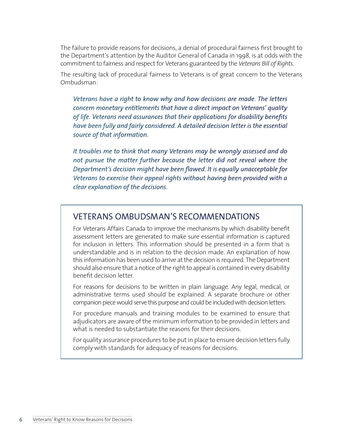The failure to provide reasons for decisions, a denial of procedural fairness first brought to the Department's attention by the Auditor General of Canada in 1998, is at odds with the commitment to fairness and respect for Veterans guaranteed by the *Veterans Bill of Rights*.

The resulting lack of procedural fairness to Veterans is of great concern to the Veterans Ombudsman:

*Veterans have a right to know why and how decisions are made. The letters concern monetary entitlements that have a direct impact on Veterans' quality of life. Veterans need assurances that their applications for disability benefits have been fully and fairly considered. A detailed decision letter is the essential source of that information.* 

*It troubles me to think that many Veterans may be wrongly assessed and do not pursue the matter further because the letter did not reveal where the Department's decision might have been flawed. It is equally unacceptable for Veterans to exercise their appeal rights without having been provided with a clear explanation of the decisions.*

### Veterans Ombudsman's Recommendations

For Veterans Affairs Canada to improve the mechanisms by which disability benefit assessment letters are generated to make sure essential information is captured for inclusion in letters. This information should be presented in a form that is understandable and is in relation to the decision made. An explanation of how this information has been used to arrive at the decision is required. The Department should also ensure that a notice of the right to appeal is contained in every disability benefit decision letter.

For reasons for decisions to be written in plain language. Any legal, medical, or administrative terms used should be explained. A separate brochure or other companion piece would serve this purpose and could be included with decision letters.

For procedure manuals and training modules to be examined to ensure that adjudicators are aware of the minimum information to be provided in letters and what is needed to substantiate the reasons for their decisions.

For quality assurance procedures to be put in place to ensure decision letters fully comply with standards for adequacy of reasons for decisions.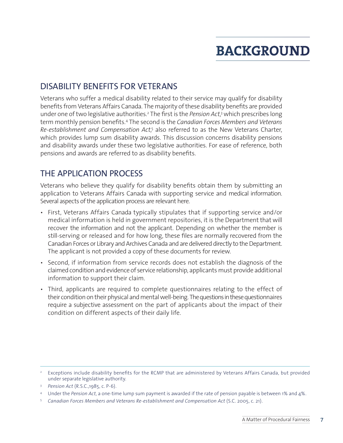## Disability benefits for Veterans

Veterans who suffer a medical disability related to their service may qualify for disability benefits from Veterans Affairs Canada. The majority of these disability benefits are provided under one of two legislative authorities.<sup>2</sup> The first is the *Pension Act*,<sup>3</sup> which prescribes long term monthly pension benefits.4 The second is the *Canadian Forces Members and Veterans*  Re-establishment and Compensation Act<sup>5</sup> also referred to as the New Veterans Charter, which provides lump sum disability awards. This discussion concerns disability pensions and disability awards under these two legislative authorities. For ease of reference, both pensions and awards are referred to as disability benefits.

## The application process

Veterans who believe they qualify for disability benefits obtain them by submitting an application to Veterans Affairs Canada with supporting service and medical information. Several aspects of the application process are relevant here.

- First, Veterans Affairs Canada typically stipulates that if supporting service and/or medical information is held in government repositories, it is the Department that will recover the information and not the applicant. Depending on whether the member is still-serving or released and for how long, these files are normally recovered from the Canadian Forces or Library and Archives Canada and are delivered directly to the Department. The applicant is not provided a copy of these documents for review.
- Second, if information from service records does not establish the diagnosis of the claimed condition and evidence of service relationship, applicants must provide additional information to support their claim.
- Third, applicants are required to complete questionnaires relating to the effect of their condition on their physical and mental well-being. The questions in these questionnaires require a subjective assessment on the part of applicants about the impact of their condition on different aspects of their daily life.

<sup>&</sup>lt;sup>2</sup> Exceptions include disability benefits for the RCMP that are administered by Veterans Affairs Canada, but provided under separate legislative authority.

<sup>3</sup> *Pension Act* (R.S.C.,1985, c. P-6).

<sup>4</sup> Under the *Pension Act*, a one-time lump sum payment is awarded if the rate of pension payable is between 1% and 4%.

<sup>5</sup> *Canadian Forces Members and Veterans Re-establishment and Compensation Act* (S.C. 2005, c. 21).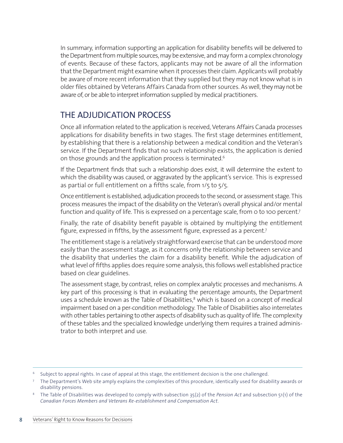In summary, information supporting an application for disability benefits will be delivered to the Department from multiple sources, may be extensive, and may form a complex chronology of events. Because of these factors, applicants may not be aware of all the information that the Department might examine when it processes their claim. Applicants will probably be aware of more recent information that they supplied but they may not know what is in older files obtained by Veterans Affairs Canada from other sources. As well, they may not be aware of, or be able to interpret information supplied by medical practitioners.

## The adjudication process

Once all information related to the application is received, Veterans Affairs Canada processes applications for disability benefits in two stages. The first stage determines entitlement, by establishing that there is a relationship between a medical condition and the Veteran's service. If the Department finds that no such relationship exists, the application is denied on those grounds and the application process is terminated.<sup>6</sup>

If the Department finds that such a relationship does exist, it will determine the extent to which the disability was caused, or aggravated by the applicant's service. This is expressed as partial or full entitlement on a fifths scale, from 1/5 to 5/5.

Once entitlement is established, adjudication proceeds to the second, or assessment stage. This process measures the impact of the disability on the Veteran's overall physical and/or mental function and quality of life. This is expressed on a percentage scale, from o to 100 percent.<sup>7</sup>

Finally, the rate of disability benefit payable is obtained by multiplying the entitlement figure, expressed in fifths, by the assessment figure, expressed as a percent.<sup>7</sup>

The entitlement stage is a relatively straightforward exercise that can be understood more easily than the assessment stage, as it concerns only the relationship between service and the disability that underlies the claim for a disability benefit. While the adjudication of what level of fifths applies does require some analysis, this follows well established practice based on clear guidelines.

The assessment stage, by contrast, relies on complex analytic processes and mechanisms. A key part of this processing is that in evaluating the percentage amounts, the Department uses a schedule known as the Table of Disabilities, $^8$  which is based on a concept of medical impairment based on a per-condition methodology. The Table of Disabilities also interrelates with other tables pertaining to other aspects of disability such as quality of life. The complexity of these tables and the specialized knowledge underlying them requires a trained administrator to both interpret and use.

<sup>6</sup> Subject to appeal rights. In case of appeal at this stage, the entitlement decision is the one challenged.

<sup>7</sup> The Department's Web site amply explains the complexities of this procedure, identically used for disability awards or disability pensions.

<sup>8</sup> The Table of Disabilities was developed to comply with subsection 35(2) of the *Pension Act* and subsection 51(1) of the *Canadian Forces Members and Veterans Re-establishment and Compensation Act*.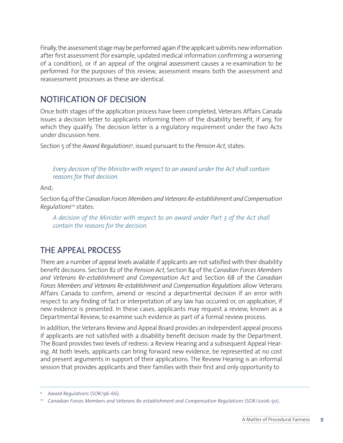Finally, the assessment stage may be performed again if the applicant submits new information after first assessment (for example, updated medical information confirming a worsening of a condition), or if an appeal of the original assessment causes a re-examination to be performed. For the purposes of this review, assessment means both the assessment and reassessment processes as these are identical.

### Notification of decision

Once both stages of the application process have been completed, Veterans Affairs Canada issues a decision letter to applicants informing them of the disability benefit, if any, for which they qualify. The decision letter is a regulatory requirement under the two Acts under discussion here.

Section 5 of the *Award Regulations*9, issued pursuant to the *Pension Act*, states:

#### *Every decision of the Minister with respect to an award under the Act shall contain reasons for that decision.*

And;

Section 64 of the *Canadian Forces Members and Veterans Re-establishment and Compensation Regulations*10 states:

*A decision of the Minister with respect to an award under Part 3 of the Act shall contain the reasons for the decision.*

### The appeal process

There are a number of appeal levels available if applicants are not satisfied with their disability benefit decisions. Section 82 of the *Pension Act*, Section 84 of the *Canadian Forces Members and Veterans Re-establishment and Compensation Act* and Section 68 of the *Canadian Forces Members and Veterans Re-establishment and Compensation Regulations* allow Veterans Affairs Canada to confirm, amend or rescind a departmental decision if an error with respect to any finding of fact or interpretation of any law has occurred or, on application, if new evidence is presented. In these cases, applicants may request a review, known as a Departmental Review, to examine such evidence as part of a formal review process.

In addition, the Veterans Review and Appeal Board provides an independent appeal process if applicants are not satisfied with a disability benefit decision made by the Department. The Board provides two levels of redress: a Review Hearing and a subsequent Appeal Hearing. At both levels, applicants can bring forward new evidence, be represented at no cost and present arguments in support of their applications. The Review Hearing is an informal session that provides applicants and their families with their first and only opportunity to

<sup>9</sup> *Award Regulations* (SOR/96-66).

<sup>&</sup>lt;sup>10</sup> Canadian Forces Members and Veterans Re-establishment and Compensation Requlations (SOR/2006-50).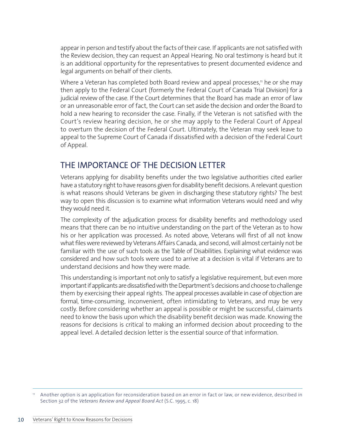appear in person and testify about the facts of their case. If applicants are not satisfied with the Review decision, they can request an Appeal Hearing. No oral testimony is heard but it is an additional opportunity for the representatives to present documented evidence and legal arguments on behalf of their clients.

Where a Veteran has completed both Board review and appeal processes,<sup>11</sup> he or she may then apply to the Federal Court (formerly the Federal Court of Canada Trial Division) for a judicial review of the case. If the Court determines that the Board has made an error of law or an unreasonable error of fact, the Court can set aside the decision and order the Board to hold a new hearing to reconsider the case. Finally, if the Veteran is not satisfied with the Court's review hearing decision, he or she may apply to the Federal Court of Appeal to overturn the decision of the Federal Court. Ultimately, the Veteran may seek leave to appeal to the Supreme Court of Canada if dissatisfied with a decision of the Federal Court of Appeal.

## The importance of the decision letter

Veterans applying for disability benefits under the two legislative authorities cited earlier have a statutory right to have reasons given for disability benefit decisions. A relevant question is what reasons should Veterans be given in discharging these statutory rights? The best way to open this discussion is to examine what information Veterans would need and why they would need it.

The complexity of the adjudication process for disability benefits and methodology used means that there can be no intuitive understanding on the part of the Veteran as to how his or her application was processed. As noted above, Veterans will first of all not know what files were reviewed by Veterans Affairs Canada, and second, will almost certainly not be familiar with the use of such tools as the Table of Disabilities. Explaining what evidence was considered and how such tools were used to arrive at a decision is vital if Veterans are to understand decisions and how they were made.

This understanding is important not only to satisfy a legislative requirement, but even more important if applicants are dissatisfied with the Department's decisions and choose to challenge them by exercising their appeal rights. The appeal processes available in case of objection are formal, time-consuming, inconvenient, often intimidating to Veterans, and may be very costly. Before considering whether an appeal is possible or might be successful, claimants need to know the basis upon which the disability benefit decision was made. Knowing the reasons for decisions is critical to making an informed decision about proceeding to the appeal level. A detailed decision letter is the essential source of that information.

Another option is an application for reconsideration based on an error in fact or law, or new evidence, described in Section 32 of the *Veterans Review and Appeal Board Act* (S.C. 1995, c. 18)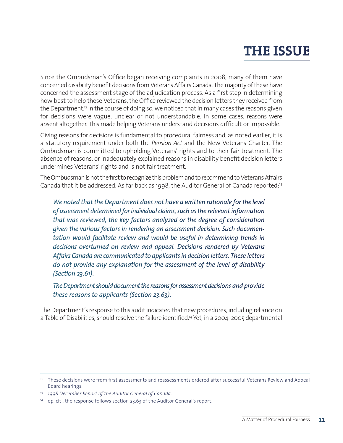# **The Issue**

Since the Ombudsman's Office began receiving complaints in 2008, many of them have concerned disability benefit decisions from Veterans Affairs Canada. The majority of these have concerned the assessment stage of the adjudication process. As a first step in determining how best to help these Veterans, the Office reviewed the decision letters they received from the Department.<sup>12</sup> In the course of doing so, we noticed that in many cases the reasons given for decisions were vague, unclear or not understandable. In some cases, reasons were absent altogether. This made helping Veterans understand decisions difficult or impossible.

Giving reasons for decisions is fundamental to procedural fairness and, as noted earlier, it is a statutory requirement under both the *Pension Act* and the New Veterans Charter. The Ombudsman is committed to upholding Veterans' rights and to their fair treatment. The absence of reasons, or inadequately explained reasons in disability benefit decision letters undermines Veterans' rights and is not fair treatment.

The Ombudsman is not the first to recognize this problem and to recommend to Veterans Affairs Canada that it be addressed. As far back as 1998, the Auditor General of Canada reported:13

*We noted that the Department does not have a written rationale for the level of assessment determined for individual claims, such as the relevant information that was reviewed, the key factors analyzed or the degree of consideration given the various factors in rendering an assessment decision. Such documentation would facilitate review and would be useful in determining trends in decisions overturned on review and appeal. Decisions rendered by Veterans Affairs Canada are communicated to applicants in decision letters. These letters do not provide any explanation for the assessment of the level of disability (Section 23.61).*

*The Department should document the reasons for assessment decisions and provide these reasons to applicants (Section 23.63).*

The Department's response to this audit indicated that new procedures, including reliance on a Table of Disabilities, should resolve the failure identified.<sup>14</sup> Yet, in a 2004–2005 departmental

<sup>&</sup>lt;sup>12</sup> These decisions were from first assessments and reassessments ordered after successful Veterans Review and Appeal Board hearings.

<sup>13</sup> *1998 December Report of the Auditor General of Canada.*

<sup>&</sup>lt;sup>14</sup> op. cit., the response follows section 23.63 of the Auditor General's report.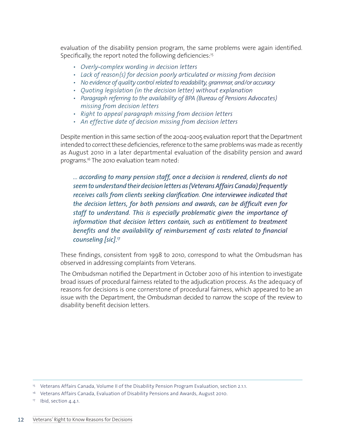evaluation of the disability pension program, the same problems were again identified. Specifically, the report noted the following deficiencies:<sup>15</sup>

- *• Overly-complex wording in decision letters*
- *• Lack of reason(s) for decision poorly articulated or missing from decision*
- *• No evidence of quality control related to readability, grammar, and/or accuracy*
- *• Quoting legislation (in the decision letter) without explanation*
- *• Paragraph referring to the availability of BPA (Bureau of Pensions Advocates) missing from decision letters*
- *• Right to appeal paragraph missing from decision letters*
- *• An effective date of decision missing from decision letters*

Despite mention in this same section of the 2004–2005 evaluation report that the Department intended to correct these deficiencies, reference to the same problems was made as recently as August 2010 in a later departmental evaluation of the disability pension and award programs.16 The 2010 evaluation team noted:

*… according to many pension staff, once a decision is rendered, clients do not seem to understand their decision letters as (Veterans Affairs Canada) frequently receives calls from clients seeking clarification. One interviewee indicated that the decision letters, for both pensions and awards, can be difficult even for staff to understand. This is especially problematic given the importance of information that decision letters contain, such as entitlement to treatment*  benefits and the availability of reimbursement of costs related to financial *counseling [sic].17*

These findings, consistent from 1998 to 2010, correspond to what the Ombudsman has observed in addressing complaints from Veterans.

The Ombudsman notified the Department in October 2010 of his intention to investigate broad issues of procedural fairness related to the adjudication process. As the adequacy of reasons for decisions is one cornerstone of procedural fairness, which appeared to be an issue with the Department, the Ombudsman decided to narrow the scope of the review to disability benefit decision letters.

<sup>&</sup>lt;sup>15</sup> Veterans Affairs Canada, Volume II of the Disability Pension Program Evaluation, section 2.1.1.

<sup>16</sup> Veterans Affairs Canada, Evaluation of Disability Pensions and Awards, August 2010.

<sup>&</sup>lt;sup>17</sup> Ibid, section 4.4.1.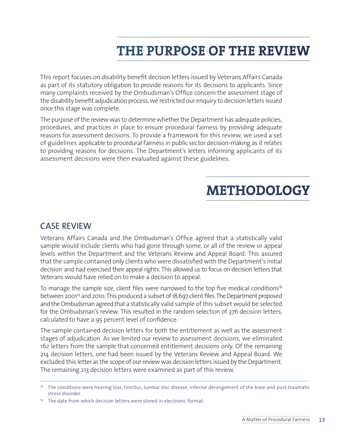# **The Purpose of the Review**

This report focuses on disability benefit decision letters issued by Veterans Affairs Canada as part of its statutory obligation to provide reasons for its decisions to applicants. Since many complaints received by the Ombudsman's Office concern the assessment stage of the disability benefit adjudication process, we restricted our enquiry to decision letters issued once this stage was complete.

The purpose of the review was to determine whether the Department has adequate policies, procedures, and practices in place to ensure procedural fairness by providing adequate reasons for assessment decisions. To provide a framework for this review, we used a set of guidelines applicable to procedural fairness in public sector decision-making as it relates to providing reasons for decisions. The Department's letters informing applicants of its assessment decisions were then evaluated against these guidelines.

# **Methodology**

## Case review

Veterans Affairs Canada and the Ombudsman's Office agreed that a statistically valid sample would include clients who had gone through some, or all of the review or appeal levels within the Department and the Veterans Review and Appeal Board. This assured that the sample contained only clients who were dissatisfied with the Department's initial decision and had exercised their appeal rights. This allowed us to focus on decision letters that Veterans would have relied on to make a decision to appeal.

To manage the sample size, client files were narrowed to the top five medical conditions<sup>18</sup> between 200119 and 2010. This produced a subset of 18,697 client files. The Department proposed and the Ombudsman agreed that a statistically valid sample of this subset would be selected for the Ombudsman's review. This resulted in the random selection of 376 decision letters, calculated to have a 95 percent level of confidence.

The sample contained decision letters for both the entitlement as well as the assessment stages of adjudication. As we limited our review to assessment decisions, we eliminated 162 letters from the sample that concerned entitlement decisions only. Of the remaining 214 decision letters, one had been issued by the Veterans Review and Appeal Board. We excluded this letter as the scope of our review was decision letters issued by the Department. The remaining 213 decision letters were examined as part of this review.

<sup>&</sup>lt;sup>18</sup> The conditions were hearing loss, tinnitus, lumbar disc disease, internal derangement of the knee and post-traumatic stress disorder.

<sup>&</sup>lt;sup>19</sup> The date from which decision letters were stored in electronic format.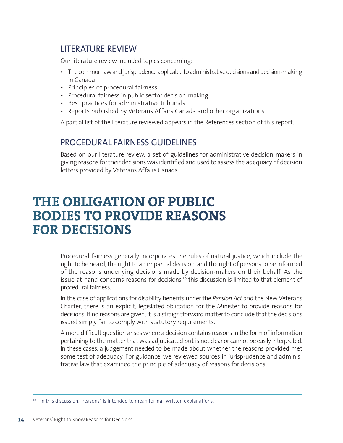## Literature review

Our literature review included topics concerning:

- The common law and jurisprudence applicable to administrative decisions and decision-making in Canada
- Principles of procedural fairness
- Procedural fairness in public sector decision-making
- Best practices for administrative tribunals
- Reports published by Veterans Affairs Canada and other organizations

A partial list of the literature reviewed appears in the References section of this report.

## Procedural fairness guidelines

Based on our literature review, a set of guidelines for administrative decision-makers in giving reasons for their decisions was identified and used to assess the adequacy of decision letters provided by Veterans Affairs Canada.

# **The Obligation of Public Bodies to Provide Reasons for Decisions**

Procedural fairness generally incorporates the rules of natural justice, which include the right to be heard, the right to an impartial decision, and the right of persons to be informed of the reasons underlying decisions made by decision-makers on their behalf. As the issue at hand concerns reasons for decisions,<sup>20</sup> this discussion is limited to that element of procedural fairness.

In the case of applications for disability benefits under the *Pension Act* and the New Veterans Charter, there is an explicit, legislated obligation for the Minister to provide reasons for decisions. If no reasons are given, it is a straightforward matter to conclude that the decisions issued simply fail to comply with statutory requirements.

A more difficult question arises where a decision contains reasons in the form of information pertaining to the matter that was adjudicated but is not clear or cannot be easily interpreted. In these cases, a judgement needed to be made about whether the reasons provided met some test of adequacy. For guidance, we reviewed sources in jurisprudence and administrative law that examined the principle of adequacy of reasons for decisions.

<sup>&</sup>lt;sup>20</sup> In this discussion, "reasons" is intended to mean formal, written explanations.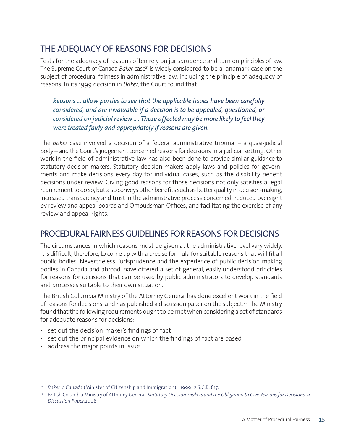## The adequacy of reasons for decisions

Tests for the adequacy of reasons often rely on jurisprudence and turn on principles of law. The Supreme Court of Canada *Baker* case<sup>21</sup> is widely considered to be a landmark case on the subject of procedural fairness in administrative law, including the principle of adequacy of reasons. In its 1999 decision in *Baker*, the Court found that:

*Reasons … allow parties to see that the applicable issues have been carefully considered, and are invaluable if a decision is to be appealed, questioned, or considered on judicial review …. Those affected may be more likely to feel they were treated fairly and appropriately if reasons are given.* 

The *Baker* case involved a decision of a federal administrative tribunal – a quasi-judicial body – and the Court's judgement concerned reasons for decisions in a judicial setting. Other work in the field of administrative law has also been done to provide similar guidance to statutory decision-makers. Statutory decision-makers apply laws and policies for governments and make decisions every day for individual cases, such as the disability benefit decisions under review. Giving good reasons for those decisions not only satisfies a legal requirement to do so, but also conveys other benefits such as better quality in decision-making, increased transparency and trust in the administrative process concerned, reduced oversight by review and appeal boards and Ombudsman Offices, and facilitating the exercise of any review and appeal rights.

## Procedural fairness guidelines for reasons for decisions

The circumstances in which reasons must be given at the administrative level vary widely. It is difficult, therefore, to come up with a precise formula for suitable reasons that will fit all public bodies. Nevertheless, jurisprudence and the experience of public decision-making bodies in Canada and abroad, have offered a set of general, easily understood principles for reasons for decisions that can be used by public administrators to develop standards and processes suitable to their own situation.

The British Columbia Ministry of the Attorney General has done excellent work in the field of reasons for decisions, and has published a discussion paper on the subject.<sup>22</sup> The Ministry found that the following requirements ought to be met when considering a set of standards for adequate reasons for decisions:

- set out the decision-maker's findings of fact
- set out the principal evidence on which the findings of fact are based
- address the major points in issue

<sup>21</sup> *Baker v. Canada* (Minister of Citizenship and Immigration), [1999] 2 S.C.R. 817.

<sup>22</sup> British Columbia Ministry of Attorney General, *Statutory Decision-makers and the Obligation to Give Reasons for Decisions, a Discussion Paper*,2008.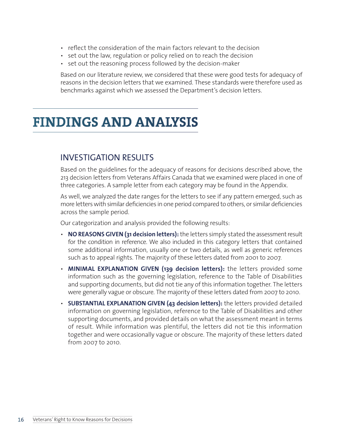- reflect the consideration of the main factors relevant to the decision
- set out the law, regulation or policy relied on to reach the decision
- set out the reasoning process followed by the decision-maker

Based on our literature review, we considered that these were good tests for adequacy of reasons in the decision letters that we examined. These standards were therefore used as benchmarks against which we assessed the Department's decision letters.

# **Findings and Analysis**

## Investigation results

Based on the guidelines for the adequacy of reasons for decisions described above, the 213 decision letters from Veterans Affairs Canada that we examined were placed in one of three categories. A sample letter from each category may be found in the Appendix.

As well, we analyzed the date ranges for the letters to see if any pattern emerged, such as more letters with similar deficiencies in one period compared to others, or similar deficiencies across the sample period.

Our categorization and analysis provided the following results:

- **NO REASONS GIVEN (31 decision letters):** the letters simply stated the assessment result for the condition in reference. We also included in this category letters that contained some additional information, usually one or two details, as well as generic references such as to appeal rights. The majority of these letters dated from 2001 to 2007.
- **Minimal explanation given (139 decision letters):** the letters provided some information such as the governing legislation, reference to the Table of Disabilities and supporting documents, but did not tie any of this information together. The letters were generally vague or obscure. The majority of these letters dated from 2007 to 2010.
- **Substantial explanation given (43 decision letters):** the letters provided detailed information on governing legislation, reference to the Table of Disabilities and other supporting documents, and provided details on what the assessment meant in terms of result. While information was plentiful, the letters did not tie this information together and were occasionally vague or obscure. The majority of these letters dated from 2007 to 2010.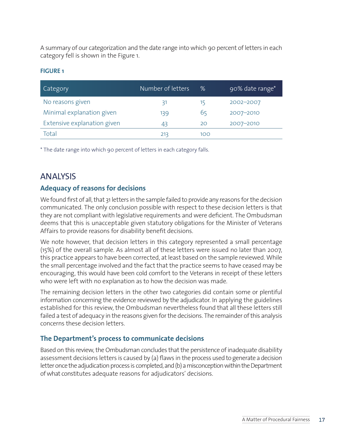A summary of our categorization and the date range into which 90 percent of letters in each category fell is shown in the Figure 1.

### **Figure 1**

| <b>Category</b>             | Number of letters | $\%$ | 90% date range* |
|-----------------------------|-------------------|------|-----------------|
| No reasons given            | 31                | 15   | 2002-2007       |
| Minimal explanation given   | 139               | 65   | 2007-2010       |
| Extensive explanation given | 43                | 20   | 2007-2010       |
| Total                       | 213               | 100  |                 |

\* The date range into which 90 percent of letters in each category falls.

## **ANAIYSIS**

### **Adequacy of reasons for decisions**

We found first of all, that 31 letters in the sample failed to provide any reasons for the decision communicated. The only conclusion possible with respect to these decision letters is that they are not compliant with legislative requirements and were deficient. The Ombudsman deems that this is unacceptable given statutory obligations for the Minister of Veterans Affairs to provide reasons for disability benefit decisions.

We note however, that decision letters in this category represented a small percentage (15%) of the overall sample. As almost all of these letters were issued no later than 2007, this practice appears to have been corrected, at least based on the sample reviewed. While the small percentage involved and the fact that the practice seems to have ceased may be encouraging, this would have been cold comfort to the Veterans in receipt of these letters who were left with no explanation as to how the decision was made.

The remaining decision letters in the other two categories did contain some or plentiful information concerning the evidence reviewed by the adjudicator. In applying the guidelines established for this review, the Ombudsman nevertheless found that all these letters still failed a test of adequacy in the reasons given for the decisions. The remainder of this analysis concerns these decision letters.

### **The Department's process to communicate decisions**

Based on this review, the Ombudsman concludes that the persistence of inadequate disability assessment decisions letters is caused by (a) flaws in the process used to generate a decision letter once the adjudication process is completed, and (b) a misconception within the Department of what constitutes adequate reasons for adjudicators' decisions.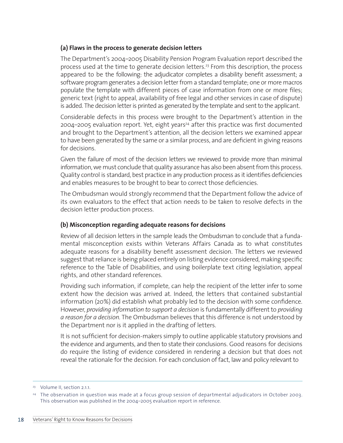#### **(a) Flaws in the process to generate decision letters**

The Department's 2004–2005 Disability Pension Program Evaluation report described the process used at the time to generate decision letters.<sup>23</sup> From this description, the process appeared to be the following: the adjudicator completes a disability benefit assessment; a software program generates a decision letter from a standard template; one or more macros populate the template with different pieces of case information from one or more files; generic text (right to appeal, availability of free legal and other services in case of dispute) is added. The decision letter is printed as generated by the template and sent to the applicant.

Considerable defects in this process were brought to the Department's attention in the 2004–2005 evaluation report. Yet, eight years<sup>24</sup> after this practice was first documented and brought to the Department's attention, all the decision letters we examined appear to have been generated by the same or a similar process, and are deficient in giving reasons for decisions.

Given the failure of most of the decision letters we reviewed to provide more than minimal information, we must conclude that quality assurance has also been absent from this process. Quality control is standard, best practice in any production process as it identifies deficiencies and enables measures to be brought to bear to correct those deficiencies.

The Ombudsman would strongly recommend that the Department follow the advice of its own evaluators to the effect that action needs to be taken to resolve defects in the decision letter production process.

#### **(b) Misconception regarding adequate reasons for decisions**

Review of all decision letters in the sample leads the Ombudsman to conclude that a fundamental misconception exists within Veterans Affairs Canada as to what constitutes adequate reasons for a disability benefit assessment decision. The letters we reviewed suggest that reliance is being placed entirely on listing evidence considered, making specific reference to the Table of Disabilities, and using boilerplate text citing legislation, appeal rights, and other standard references.

Providing such information, if complete, can help the recipient of the letter infer to some extent how the decision was arrived at. Indeed, the letters that contained substantial information (20%) did establish what probably led to the decision with some confidence. However, *providing information to support a decision* is fundamentally different to *providing a reason for a decision*. The Ombudsman believes that this difference is not understood by the Department nor is it applied in the drafting of letters.

It is not sufficient for decision-makers simply to outline applicable statutory provisions and the evidence and arguments, and then to state their conclusions. Good reasons for decisions do require the listing of evidence considered in rendering a decision but that does not reveal the rationale for the decision. For each conclusion of fact, law and policy relevant to

<sup>&</sup>lt;sup>23</sup> Volume II, section 2.1.1.

<sup>24</sup> The observation in question was made at a focus group session of departmental adjudicators in October 2003. This observation was published in the 2004–2005 evaluation report in reference.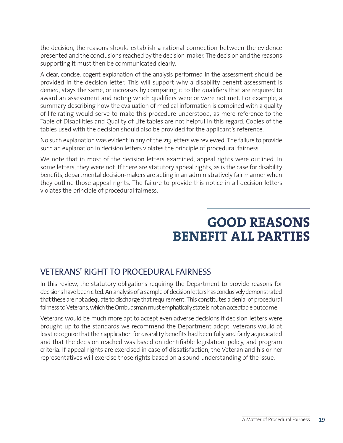the decision, the reasons should establish a rational connection between the evidence presented and the conclusions reached by the decision-maker. The decision and the reasons supporting it must then be communicated clearly.

A clear, concise, cogent explanation of the analysis performed in the assessment should be provided in the decision letter. This will support why a disability benefit assessment is denied, stays the same, or increases by comparing it to the qualifiers that are required to award an assessment and noting which qualifiers were or were not met. For example, a summary describing how the evaluation of medical information is combined with a quality of life rating would serve to make this procedure understood, as mere reference to the Table of Disabilities and Quality of Life tables are not helpful in this regard. Copies of the tables used with the decision should also be provided for the applicant's reference.

No such explanation was evident in any of the 213 letters we reviewed. The failure to provide such an explanation in decision letters violates the principle of procedural fairness.

We note that in most of the decision letters examined, appeal rights were outlined. In some letters, they were not. If there are statutory appeal rights, as is the case for disability benefits, departmental decision-makers are acting in an administratively fair manner when they outline those appeal rights. The failure to provide this notice in all decision letters violates the principle of procedural fairness.

# **Good Reasons Benefit All Parties**

## Veterans' right to procedural fairness

In this review, the statutory obligations requiring the Department to provide reasons for decisions have been cited. An analysis of a sample of decision letters has conclusively demonstrated that these are not adequate to discharge that requirement. This constitutes a denial of procedural fairness to Veterans, which the Ombudsman must emphatically state is not an acceptable outcome.

Veterans would be much more apt to accept even adverse decisions if decision letters were brought up to the standards we recommend the Department adopt. Veterans would at least recognize that their application for disability benefits had been fully and fairly adjudicated and that the decision reached was based on identifiable legislation, policy, and program criteria. If appeal rights are exercised in case of dissatisfaction, the Veteran and his or her representatives will exercise those rights based on a sound understanding of the issue.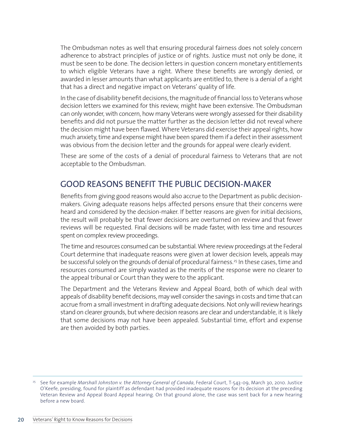The Ombudsman notes as well that ensuring procedural fairness does not solely concern adherence to abstract principles of justice or of rights. Justice must not only be done, it must be seen to be done. The decision letters in question concern monetary entitlements to which eligible Veterans have a right. Where these benefits are wrongly denied, or awarded in lesser amounts than what applicants are entitled to, there is a denial of a right that has a direct and negative impact on Veterans' quality of life.

In the case of disability benefit decisions, the magnitude of financial loss to Veterans whose decision letters we examined for this review, might have been extensive. The Ombudsman can only wonder, with concern, how many Veterans were wrongly assessed for their disability benefits and did not pursue the matter further as the decision letter did not reveal where the decision might have been flawed. Where Veterans did exercise their appeal rights, how much anxiety, time and expense might have been spared them if a defect in their assessment was obvious from the decision letter and the grounds for appeal were clearly evident.

These are some of the costs of a denial of procedural fairness to Veterans that are not acceptable to the Ombudsman.

## Good reasons benefit the public decision-maker

Benefits from giving good reasons would also accrue to the Department as public decisionmakers. Giving adequate reasons helps affected persons ensure that their concerns were heard and considered by the decision-maker. If better reasons are given for initial decisions, the result will probably be that fewer decisions are overturned on review and that fewer reviews will be requested. Final decisions will be made faster, with less time and resources spent on complex review proceedings.

The time and resources consumed can be substantial. Where review proceedings at the Federal Court determine that inadequate reasons were given at lower decision levels, appeals may be successful solely on the grounds of denial of procedural fairness.<sup>25</sup> In these cases, time and resources consumed are simply wasted as the merits of the response were no clearer to the appeal tribunal or Court than they were to the applicant.

The Department and the Veterans Review and Appeal Board, both of which deal with appeals of disability benefit decisions, may well consider the savings in costs and time that can accrue from a small investment in drafting adequate decisions. Not only will review hearings stand on clearer grounds, but where decision reasons are clear and understandable, it is likely that some decisions may not have been appealed. Substantial time, effort and expense are then avoided by both parties.

<sup>25</sup> See for example *Marshall Johnston v. the Attorney General of Canada*, Federal Court, T-543-09, March 30, 2010. Justice O'Keefe, presiding, found for plaintiff as defendant had provided inadequate reasons for its decision at the preceding Veteran Review and Appeal Board Appeal hearing. On that ground alone, the case was sent back for a new hearing before a new board.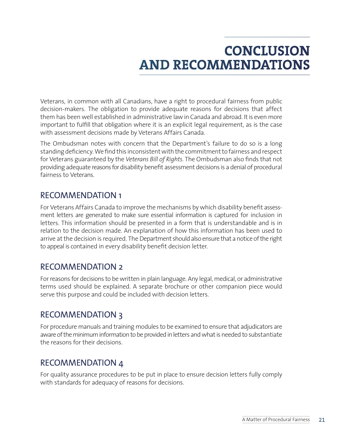# **Conclusion and Recommendations**

Veterans, in common with all Canadians, have a right to procedural fairness from public decision-makers. The obligation to provide adequate reasons for decisions that affect them has been well established in administrative law in Canada and abroad. It is even more important to fulfill that obligation where it is an explicit legal requirement, as is the case with assessment decisions made by Veterans Affairs Canada.

The Ombudsman notes with concern that the Department's failure to do so is a long standing deficiency. We find this inconsistent with the commitment to fairness and respect for Veterans guaranteed by the *Veterans Bill of Rights*. The Ombudsman also finds that not providing adequate reasons for disability benefit assessment decisions is a denial of procedural fairness to Veterans.

### Recommendation 1

For Veterans Affairs Canada to improve the mechanisms by which disability benefit assessment letters are generated to make sure essential information is captured for inclusion in letters. This information should be presented in a form that is understandable and is in relation to the decision made. An explanation of how this information has been used to arrive at the decision is required. The Department should also ensure that a notice of the right to appeal is contained in every disability benefit decision letter.

### Recommendation 2

For reasons for decisions to be written in plain language. Any legal, medical, or administrative terms used should be explained. A separate brochure or other companion piece would serve this purpose and could be included with decision letters.

## Recommendation 3

For procedure manuals and training modules to be examined to ensure that adjudicators are aware of the minimum information to be provided in letters and what is needed to substantiate the reasons for their decisions.

## Recommendation 4

For quality assurance procedures to be put in place to ensure decision letters fully comply with standards for adequacy of reasons for decisions.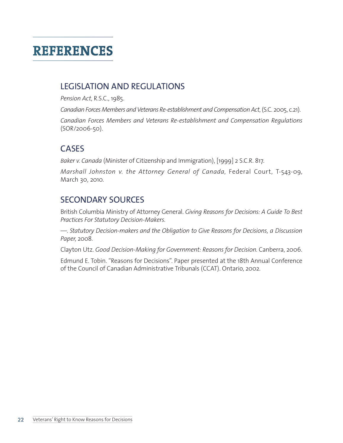# **References**

## Legislation and Regulations

*Pension Act*, R.S.C., 1985.

*Canadian Forces Members and Veterans Re-establishment and Compensation Act*, (S.C. 2005, c.21).

*Canadian Forces Members and Veterans Re-establishment and Compensation Regulations* (SOR/2006-50).

# **CASES**

*Baker v. Canada* (Minister of Citizenship and Immigration), [1999] 2 S.C.R. 817.

*Marshall Johnston v. the Attorney General of Canada*, Federal Court, T-543-09, March 30, 2010.

## Secondary Sources

British Columbia Ministry of Attorney General. *Giving Reasons for Decisions: A Guide To Best Practices For Statutory Decision-Makers*.

—. *Statutory Decision-makers and the Obligation to Give Reasons for Decisions, a Discussion Paper*, 2008.

Clayton Utz. *Good Decision-Making for Government: Reasons for Decision*. Canberra, 2006.

Edmund E. Tobin. "Reasons for Decisions". Paper presented at the 18th Annual Conference of the Council of Canadian Administrative Tribunals (CCAT). Ontario, 2002.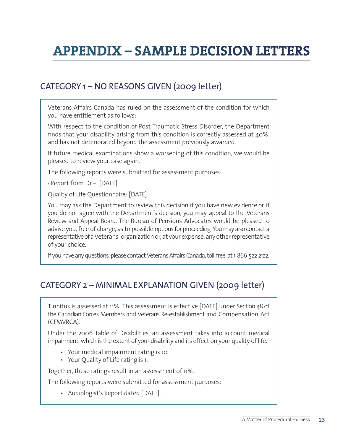# **Appendix – Sample Decision Letters**

## Category 1 – No Reasons given (2009 letter)

Veterans Affairs Canada has ruled on the assessment of the condition for which you have entitlement as follows:

With respect to the condition of Post Traumatic Stress Disorder, the Department finds that your disability arising from this condition is correctly assessed at 40%, and has not deteriorated beyond the assessment previously awarded.

If future medical examinations show a worsening of this condition, we would be pleased to review your case again.

The following reports were submitted for assessment purposes:

∙ Report from Dr.–: [DATE]

Quality of Life Questionnaire: [DATE]

You may ask the Department to review this decision if you have new evidence or, if you do not agree with the Department's decision, you may appeal to the Veterans Review and Appeal Board. The Bureau of Pensions Advocates would be pleased to advise you, free of charge, as to possible options for proceeding. You may also contact a representative of a Veterans' organization or, at your expense, any other representative of your choice.

If you have any questions, please contact Veterans Affairs Canada, toll-free, at 1-866-522-2122.

# Category 2 – Minimal explanation given (2009 letter)

Tinnitus is assessed at 11%. This assessment is effective [DATE] under Section 48 of the Canadian Forces Members and Veterans Re-establishment and Compensation Act (CFMVRCA).

Under the 2006 Table of Disabilities, an assessment takes into account medical impairment, which is the extent of your disability and its effect on your quality of life.

- Your medical impairment rating is 10.
- Your Quality of Life rating is 1.

Together, these ratings result in an assessment of 11%.

The following reports were submitted for assessment purposes:

• Audiologist's Report dated [DATE].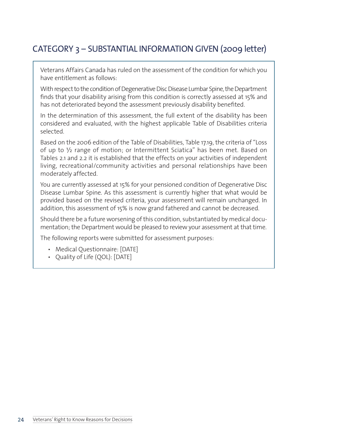# Category 3 – Substantial information given (2009 letter)

Veterans Affairs Canada has ruled on the assessment of the condition for which you have entitlement as follows:

With respect to the condition of Degenerative Disc Disease Lumbar Spine, the Department finds that your disability arising from this condition is correctly assessed at 15% and has not deteriorated beyond the assessment previously disability benefited.

In the determination of this assessment, the full extent of the disability has been considered and evaluated, with the highest applicable Table of Disabilities criteria selected.

Based on the 2006 edition of the Table of Disabilities, Table 17.19, the criteria of "Loss of up to  $\frac{1}{2}$  range of motion; or Intermittent Sciatica" has been met. Based on Tables 2.1 and 2.2 it is established that the effects on your activities of independent living, recreational/community activities and personal relationships have been moderately affected.

You are currently assessed at 15% for your pensioned condition of Degenerative Disc Disease Lumbar Spine. As this assessment is currently higher that what would be provided based on the revised criteria, your assessment will remain unchanged. In addition, this assessment of 15% is now grand fathered and cannot be decreased.

Should there be a future worsening of this condition, substantiated by medical documentation; the Department would be pleased to review your assessment at that time.

The following reports were submitted for assessment purposes:

- Medical Questionnaire: [DATE]
- Quality of Life (QOL): [DATE]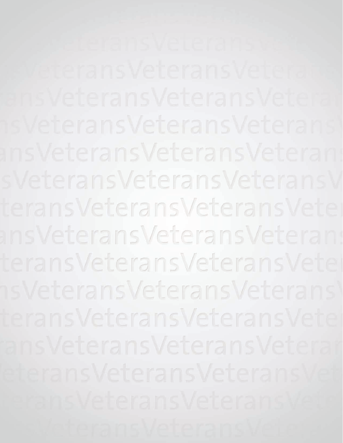ans Veterans Veterans Veteran sVeteransVeteransVeteransV terans Veterans Veterans Veter ans Veterans Veterans Veteran teransVeteransVeteransVeter ns Veterans Veterans Veterans teransVeteransVeteransVete